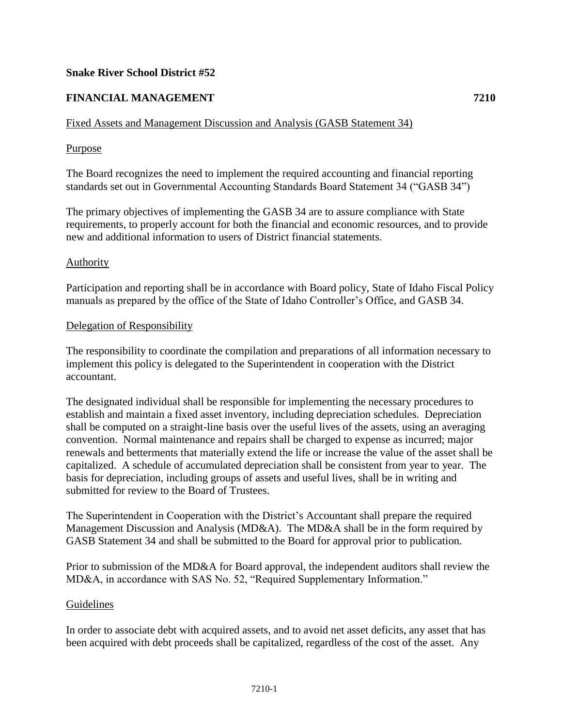# **Snake River School District #52**

# **FINANCIAL MANAGEMENT 7210**

# Fixed Assets and Management Discussion and Analysis (GASB Statement 34)

## Purpose

The Board recognizes the need to implement the required accounting and financial reporting standards set out in Governmental Accounting Standards Board Statement 34 ("GASB 34")

The primary objectives of implementing the GASB 34 are to assure compliance with State requirements, to properly account for both the financial and economic resources, and to provide new and additional information to users of District financial statements.

### Authority

Participation and reporting shall be in accordance with Board policy, State of Idaho Fiscal Policy manuals as prepared by the office of the State of Idaho Controller's Office, and GASB 34.

### Delegation of Responsibility

The responsibility to coordinate the compilation and preparations of all information necessary to implement this policy is delegated to the Superintendent in cooperation with the District accountant.

The designated individual shall be responsible for implementing the necessary procedures to establish and maintain a fixed asset inventory, including depreciation schedules. Depreciation shall be computed on a straight-line basis over the useful lives of the assets, using an averaging convention. Normal maintenance and repairs shall be charged to expense as incurred; major renewals and betterments that materially extend the life or increase the value of the asset shall be capitalized. A schedule of accumulated depreciation shall be consistent from year to year. The basis for depreciation, including groups of assets and useful lives, shall be in writing and submitted for review to the Board of Trustees.

The Superintendent in Cooperation with the District's Accountant shall prepare the required Management Discussion and Analysis (MD&A). The MD&A shall be in the form required by GASB Statement 34 and shall be submitted to the Board for approval prior to publication.

Prior to submission of the MD&A for Board approval, the independent auditors shall review the MD&A, in accordance with SAS No. 52, "Required Supplementary Information."

### Guidelines

In order to associate debt with acquired assets, and to avoid net asset deficits, any asset that has been acquired with debt proceeds shall be capitalized, regardless of the cost of the asset. Any